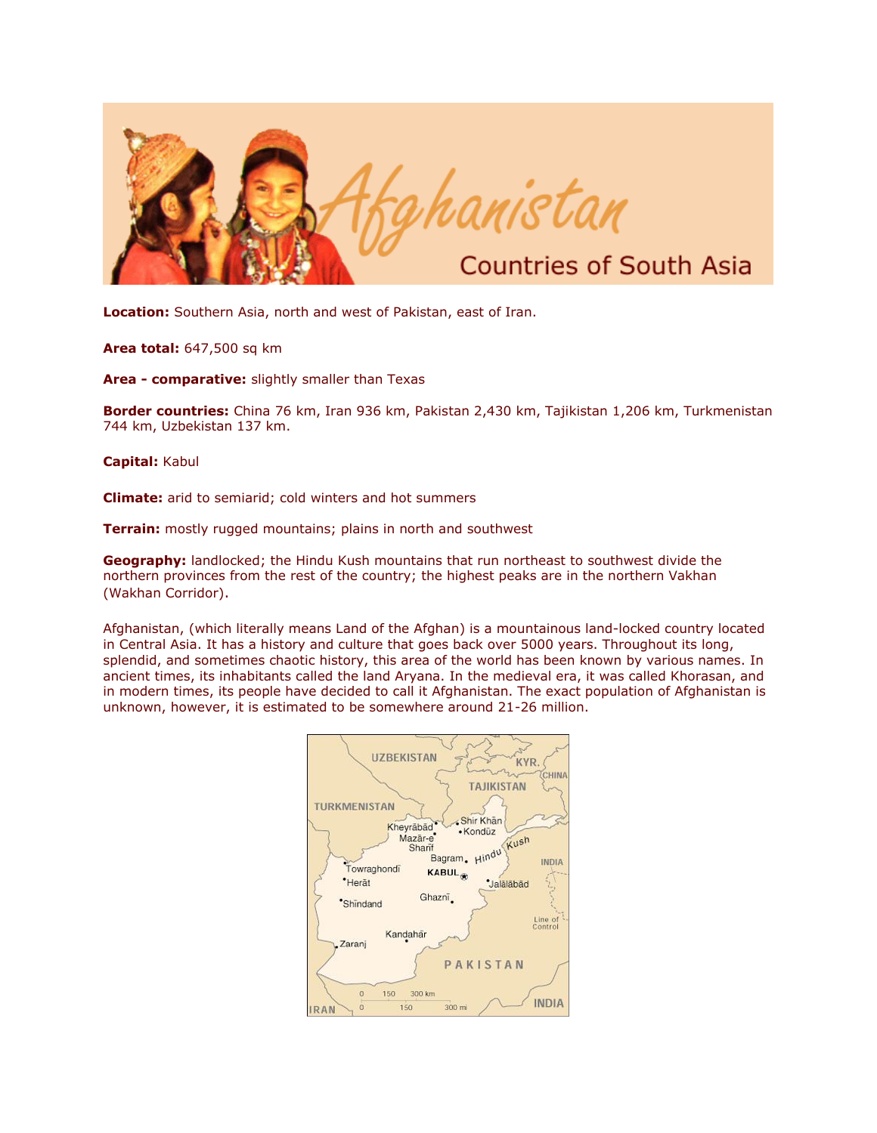

**Location:** Southern Asia, north and west of Pakistan, east of Iran.

**Area total:** 647,500 sq km

**Area - comparative:** slightly smaller than Texas

**Border countries:** China 76 km, Iran 936 km, Pakistan 2,430 km, Tajikistan 1,206 km, Turkmenistan 744 km, Uzbekistan 137 km.

**Capital:** Kabul

**Climate:** arid to semiarid; cold winters and hot summers

**Terrain:** mostly rugged mountains; plains in north and southwest

**Geography:** landlocked; the Hindu Kush mountains that run northeast to southwest divide the northern provinces from the rest of the country; the highest peaks are in the northern Vakhan (Wakhan Corridor).

Afghanistan, (which literally means Land of the Afghan) is a mountainous land-locked country located in Central Asia. It has a history and culture that goes back over 5000 years. Throughout its long, splendid, and sometimes chaotic history, this area of the world has been known by various names. In ancient times, its inhabitants called the land Aryana. In the medieval era, it was called Khorasan, and in modern times, its people have decided to call it Afghanistan. The exact population of Afghanistan is unknown, however, it is estimated to be somewhere around 21-26 million.